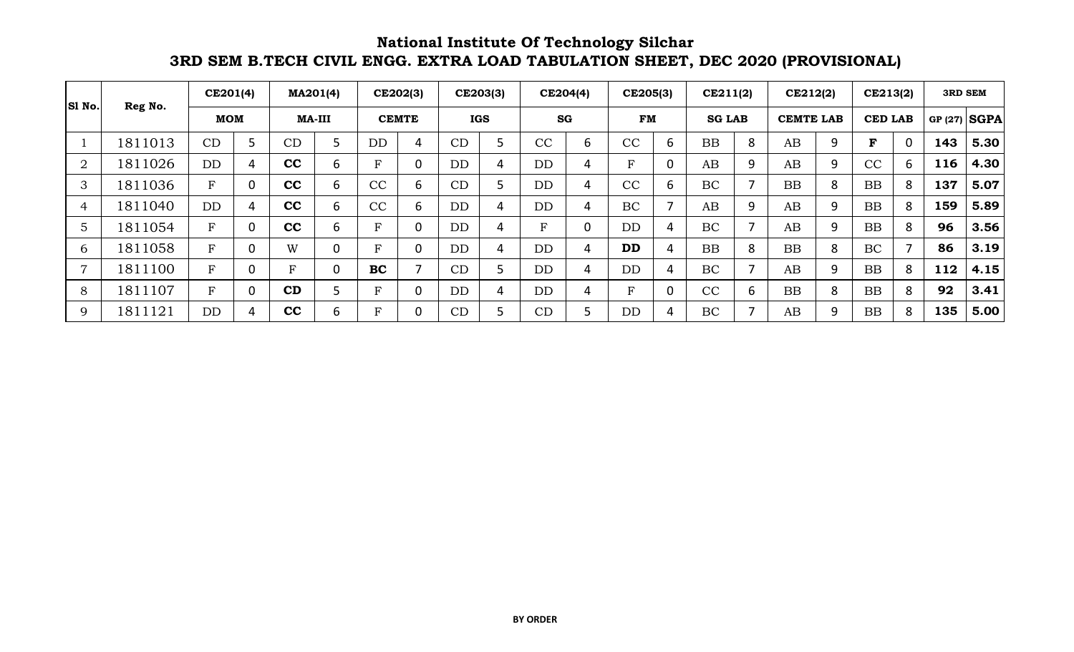**National Institute Of Technology Silchar 3RD SEM B.TECH CIVIL ENGG. EXTRA LOAD TABULATION SHEET, DEC 2020 (PROVISIONAL)**

| Sl No.         |         | CE201(4)   | MA201(4)      |             |           | CE202(3)       |           | CE203(3)   | CE204(4)    |   | CE205(3)               |                          | CE211(2)      |   | CE212(2)         |   | CE213(2)       |   | <b>3RD SEM</b> |                |
|----------------|---------|------------|---------------|-------------|-----------|----------------|-----------|------------|-------------|---|------------------------|--------------------------|---------------|---|------------------|---|----------------|---|----------------|----------------|
|                | Reg No. | <b>MOM</b> | <b>MA-III</b> |             |           | <b>CEMTE</b>   |           | <b>IGS</b> | SG          |   | <b>FM</b>              |                          | <b>SG LAB</b> |   | <b>CEMTE LAB</b> |   | <b>CED LAB</b> |   |                | GP $(27)$ SGPA |
|                | 1811013 | CD         | CD            |             | <b>DD</b> | 4              | CD        |            | CC          | 6 | $\overline{\text{CC}}$ | 6                        | <b>BB</b>     | 8 | AB               | 9 | F              | 0 | 143            | 5.30           |
| $\overline{2}$ | 1811026 | DD         | cc            | 6           | F.        | 0              | <b>DD</b> | 4          | <b>DD</b>   | 4 | Ŀ.                     | 0                        | AB            | 9 | AB               | 9 | CC             | 6 | 116            | 4.30           |
| 3              | 1811036 | F          | cc            | 6           | CC        | 6              | CD        |            | <b>DD</b>   | 4 | CC                     | 6                        | BC            |   | <b>BB</b>        | 8 | <b>BB</b>      | 8 | 137            | 5.07           |
| 4              | 1811040 | <b>DD</b>  | cc            | 6           | CC        | 6              | <b>DD</b> | 4          | <b>DD</b>   | 4 | BC                     | $\overline{\phantom{a}}$ | AB            | 9 | AB               | 9 | BB             | 8 | 159            | 5.89           |
| 5              | 1811054 | F          | cc            | 6           | F.        | $\overline{0}$ | <b>DD</b> | 4          | $\mathbf F$ |   | <b>DD</b>              | 4                        | BC            |   | AB               | 9 | BB             | 8 | 96             | 3.56           |
| 6              | 1811058 | F          | W             |             | F.        | $\overline{0}$ | <b>DD</b> | 4          | DD          | 4 | <b>DD</b>              | $\overline{4}$           | <b>BB</b>     | 8 | <b>BB</b>        | 8 | BC             |   | 86             | 3.19           |
| $\overline{7}$ | 1811100 | F          | $\mathbf{F}$  | $\mathbf 0$ | <b>BC</b> | ⇁              | CD        |            | <b>DD</b>   | 4 | <b>DD</b>              | 4                        | BC            |   | AB               | 9 | <b>BB</b>      | 8 | 112            | 4.15           |
| 8              | 1811107 | F          | CD            |             | Ŀ.        | $\overline{0}$ | <b>DD</b> | 4          | DD          | 4 | F                      | 0                        | CC            | 6 | BB               | 8 | <b>BB</b>      | 8 | 92             | 3.41           |
| 9              | 1811121 | <b>DD</b>  | cc            | 6           | F.        | $\mathbf 0$    | CD        |            | CD          |   | DD                     | 4                        | BC            |   | AB               | 9 | <b>BB</b>      | 8 | 135            | 5.00           |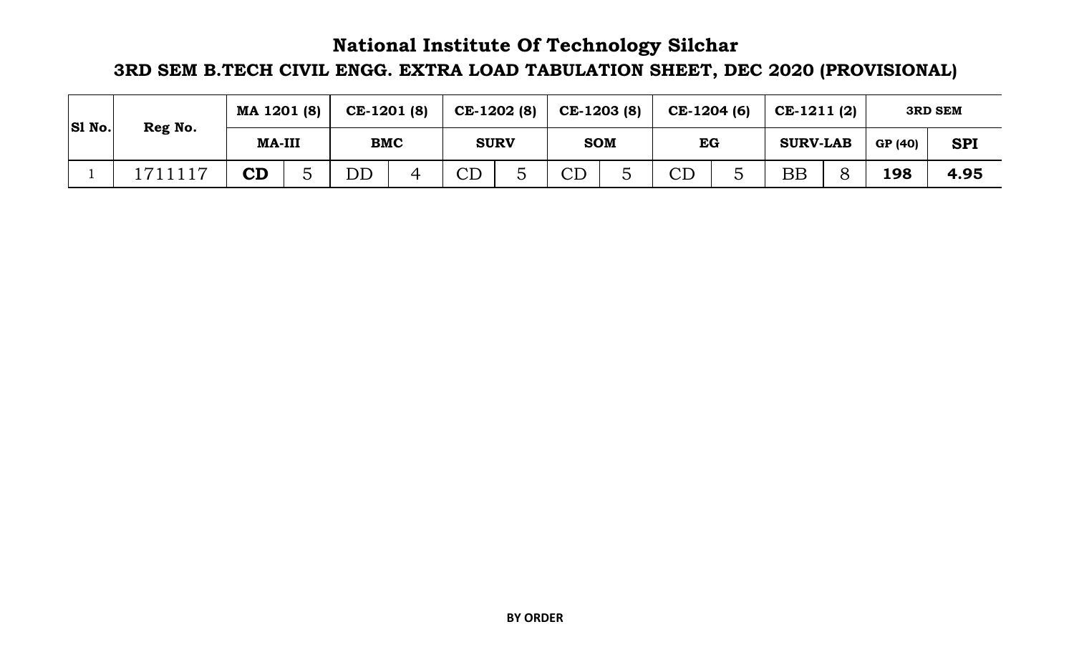## **National Institute Of Technology Silchar**

# **3RD SEM B.TECH CIVIL ENGG. EXTRA LOAD TABULATION SHEET, DEC 2020 (PROVISIONAL)**

| <b>SI No.</b> | Reg No.    | MA 1201 (8)   |  | CE-1201 (8) |            | CE-1202 (8) |  | CE-1203 (8)         | CE-1204 (6)         | $CE-1211(2)$    |   |         | <b>3RD SEM</b> |
|---------------|------------|---------------|--|-------------|------------|-------------|--|---------------------|---------------------|-----------------|---|---------|----------------|
|               |            | <b>MA-III</b> |  |             | <b>BMC</b> | <b>SURV</b> |  | <b>SOM</b>          | EG                  | <b>SURV-LAB</b> |   | GP (40) | <b>SPI</b>     |
|               | 117<br>711 | ${\bf CD}$    |  | DD          |            | CD<br>◡     |  | $\operatorname{CD}$ | $\operatorname{CD}$ | $\rm BB$        | 8 | 198     | 4.95           |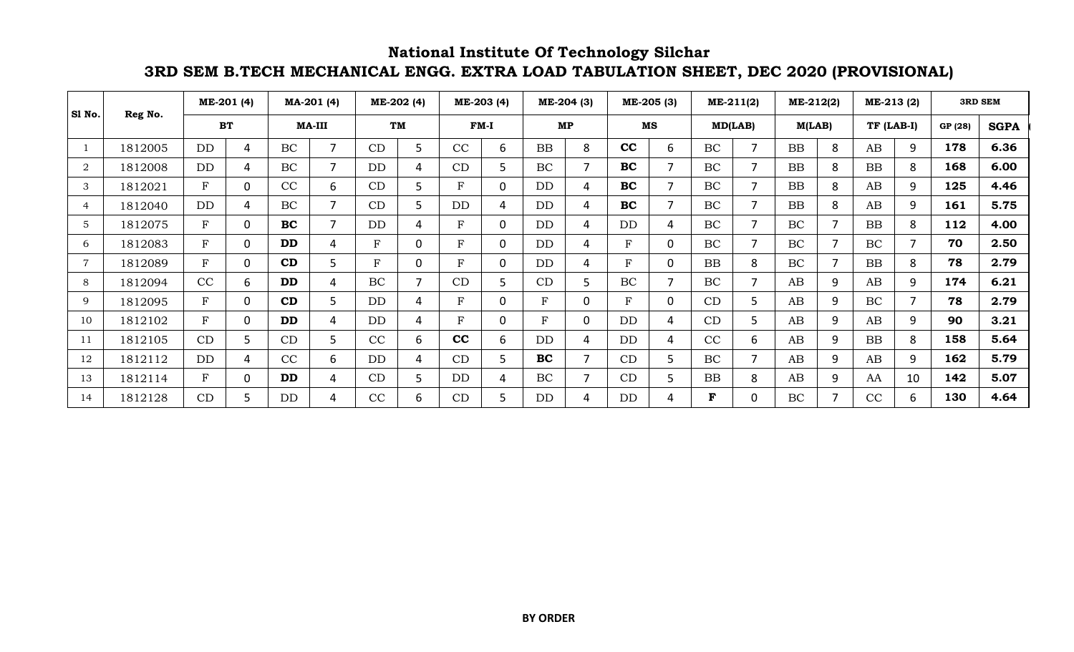#### **National Institute Of Technology Silchar 3RD SEM B.TECH MECHANICAL ENGG. EXTRA LOAD TABULATION SHEET, DEC 2020 (PROVISIONAL)**

| Sl No.         |         |           | ME-201 (4) |           | MA-201 (4)     |           | ME-202 (4) |              | ME-203 (4) | ME-204 (3)   |          |           | ME-205 (3)     |           | ME-211(2)      | ME-212(2) |   | ME-213 (2) |    | <b>3RD SEM</b> |             |
|----------------|---------|-----------|------------|-----------|----------------|-----------|------------|--------------|------------|--------------|----------|-----------|----------------|-----------|----------------|-----------|---|------------|----|----------------|-------------|
|                | Reg No. |           | <b>BT</b>  |           | <b>MA-III</b>  | <b>TM</b> |            |              | $FM-I$     | MP           |          | MS        |                | MD(LAB)   |                | M(LAB)    |   | TF (LAB-I) |    | GP (28)        | <b>SGPA</b> |
|                | 1812005 | <b>DD</b> | 4          | <b>BC</b> | 7              | CD        | 5          | CC           | 6          | <b>BB</b>    | 8        | cc        | 6              | BC        | $\overline{7}$ | <b>BB</b> | 8 | AB         | 9  | 178            | 6.36        |
| $\overline{2}$ | 1812008 | DD        | 4          | <b>BC</b> | $\overline{7}$ | <b>DD</b> |            | CD           | 5          | BC           | 7        | <b>BC</b> | $\overline{7}$ | <b>BC</b> | $\overline{7}$ | <b>BB</b> | 8 | BB         | 8  | 168            | 6.00        |
| 3              | 1812021 | ${\bf F}$ | $\Omega$   | CC        | 6              | CD        |            | $\mathbf{F}$ | 0          | <b>DD</b>    | 4        | <b>BC</b> | $\overline{7}$ | <b>BC</b> | $\overline{7}$ | <b>BB</b> | 8 | AB         | 9  | 125            | 4.46        |
| 4              | 1812040 | <b>DD</b> | 4          | <b>BC</b> | $\overline{7}$ | CD        |            | DD           | 4          | DD           | 4        | BC        | $\overline{7}$ | <b>BC</b> | 7              | <b>BB</b> | 8 | AB         | 9  | 161            | 5.75        |
| $\overline{5}$ | 1812075 | ${\bf F}$ | $\Omega$   | <b>BC</b> | $\overline{7}$ | <b>DD</b> |            | $\mathbf{F}$ | 0          | <b>DD</b>    | 4        | <b>DD</b> | 4              | <b>BC</b> | $\overline{7}$ | BC        | ⇁ | <b>BB</b>  | 8  | 112            | 4.00        |
| 6              | 1812083 | ${\bf F}$ | $\Omega$   | <b>DD</b> | 4              | F         | O          | $\mathbf{F}$ | 0          | <b>DD</b>    | 4        | F         | $\mathbf 0$    | <b>BC</b> | $\overline{7}$ | BC        |   | BC         |    | 70             | 2.50        |
|                | 1812089 | ${\bf F}$ | $\Omega$   | CD        | 5              | F         | 0          | $\mathbf{F}$ | 0          | <b>DD</b>    | 4        | F         | 0              | <b>BB</b> | 8              | BC        | 7 | <b>BB</b>  | 8  | 78             | 2.79        |
| 8              | 1812094 | CC        | 6.         | <b>DD</b> | 4              | <b>BC</b> |            | CD           | 5          | CD           | 5.       | <b>BC</b> | $\overline{7}$ | <b>BC</b> | 7              | AB        | 9 | AB         | 9  | 174            | 6.21        |
| 9              | 1812095 | ${\bf F}$ | $\Omega$   | CD        | 5              | <b>DD</b> |            | $\mathbf{F}$ | $\Omega$   | $\mathbf{F}$ | $\Omega$ | F         | 0              | CD        | 5              | AB        | 9 | BC         | ⇁  | 78             | 2.79        |
| 10             | 1812102 | ${\bf F}$ | $\Omega$   | <b>DD</b> | 4              | <b>DD</b> | 4          | $\mathbf{F}$ | $\Omega$   | F            | $\Omega$ | DD        | 4              | CD        | 5              | AB        | 9 | AB         | 9  | 90             | 3.21        |
| 11             | 1812105 | CD        | 5.         | CD        | 5              | CC        | 6.         | cc           | 6          | <b>DD</b>    | 4        | <b>DD</b> | 4              | CC        | 6              | AB        | 9 | <b>BB</b>  | 8  | 158            | 5.64        |
| 12             | 1812112 | <b>DD</b> | 4          | CC        | 6              | <b>DD</b> | 4          | CD           | 5          | <b>BC</b>    |          | CD        | 5              | <b>BC</b> | 7              | AB        | 9 | AB         | 9  | 162            | 5.79        |
| 13             | 1812114 | ${\bf F}$ | $\Omega$   | <b>DD</b> | 4              | CD        |            | DD           | 4          | BC           | 7        | CD        | 5              | <b>BB</b> | 8              | AB        | 9 | AA         | 10 | 142            | 5.07        |
| 14             | 1812128 | CD        | 5.         | DD        | 4              | CC        | 6          | CD           | 5          | DD           | 4        | DD        | 4              | F         | 0              | BC        |   | CC         | 6. | 130            | 4.64        |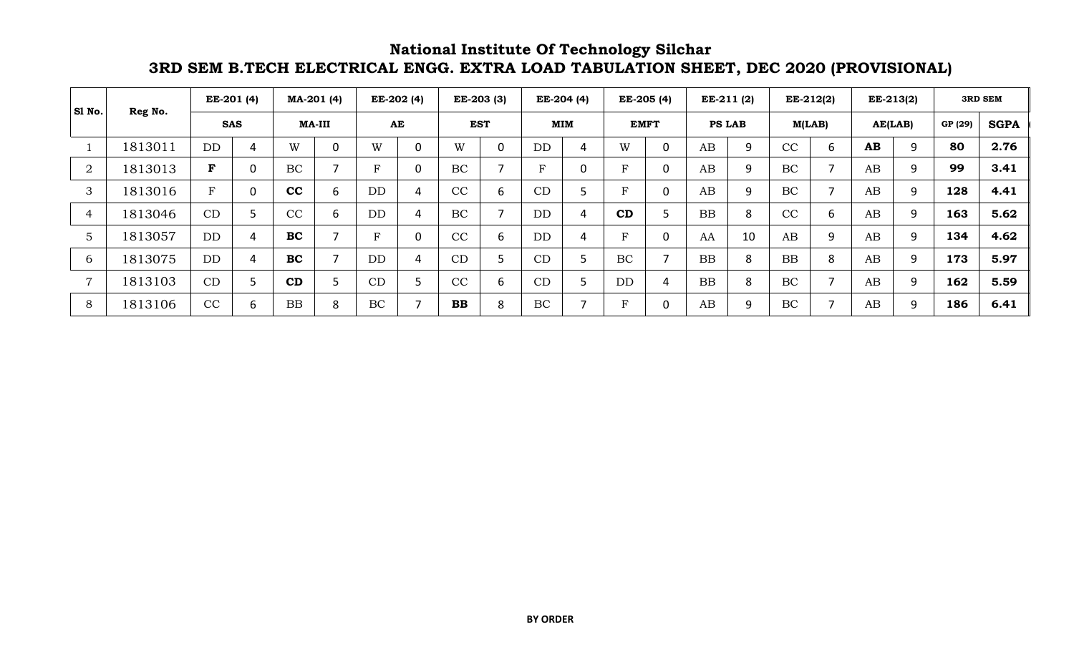#### **National Institute Of Technology Silchar 3RD SEM B.TECH ELECTRICAL ENGG. EXTRA LOAD TABULATION SHEET, DEC 2020 (PROVISIONAL)**

| S1 No.         |         | $EE-201(4)$ |             | MA-201 (4)    |   | EE-202 (4) |   |              | EE-203 (3) | EE-204 (4)  |   | EE-205 (4) |             |               | EE-211 (2) | $EE-212(2)$ |   |         | EE-213(2) |         | <b>3RD SEM</b> |
|----------------|---------|-------------|-------------|---------------|---|------------|---|--------------|------------|-------------|---|------------|-------------|---------------|------------|-------------|---|---------|-----------|---------|----------------|
|                | Reg No. | <b>SAS</b>  |             | <b>MA-III</b> |   | AE         |   |              | <b>EST</b> | MIM         |   |            | <b>EMFT</b> | <b>PS LAB</b> |            | M(LAB)      |   | AE(LAB) |           | GP (29) | <b>SGPA</b>    |
|                | 1813011 | DD          | 4           | W             | 0 | W          |   | W            | 0          | DD          | 4 | W          | 0           | AB            | 9          | CC          | 6 | AB      |           | 80      | 2.76           |
| $\overline{2}$ | 1813013 | F           | $\mathbf 0$ | BC            |   | D          | 0 | <b>BC</b>    |            | $\mathbf F$ | 0 | Р          | 0           | AB            | 9          | BC          |   | AB      | 9         | 99      | 3.41           |
| 3              | 1813016 | F           | 0           | cc            | 6 | <b>DD</b>  | 4 | CC           | 6          | CD          |   | Б          | 0           | AB            | 9          | BC          |   | AB      | 9         | 128     | 4.41           |
| 4              | 1813046 | CD          | 5           | CC            | 6 | <b>DD</b>  | 4 | <b>BC</b>    |            | DD          | 4 | CD         |             | <b>BB</b>     | 8          | CC          | 6 | AB      | 9         | 163     | 5.62           |
| 5              | 1813057 | DD          | 4           | BC            |   | D          |   | CC           | 6          | <b>DD</b>   | 4 | Р          | 0           | AA            | 10         | AB          | 9 | AB      | 9         | 134     | 4.62           |
| 6              | 1813075 | <b>DD</b>   | 4           | <b>BC</b>     |   | DD         | 4 | CD           |            | CD          |   | BC         |             | <b>BB</b>     | 8          | <b>BB</b>   | 8 | AB      | 9         | 173     | 5.97           |
| $\overline{ }$ | 1813103 | CD          | כ           | CD            |   | CD         |   | CC           | 6          | CD          |   | <b>DD</b>  | 4           | <b>BB</b>     | 8          | BC          |   | AB      | 9         | 162     | 5.59           |
| 8              | 1813106 | CC          | 6           | <b>BB</b>     | 8 | BC         |   | $\mathbf{B}$ | 8          | BC          |   | 耳          | 0           | AB            | 9          | BC          |   | AB      | 9         | 186     | 6.41           |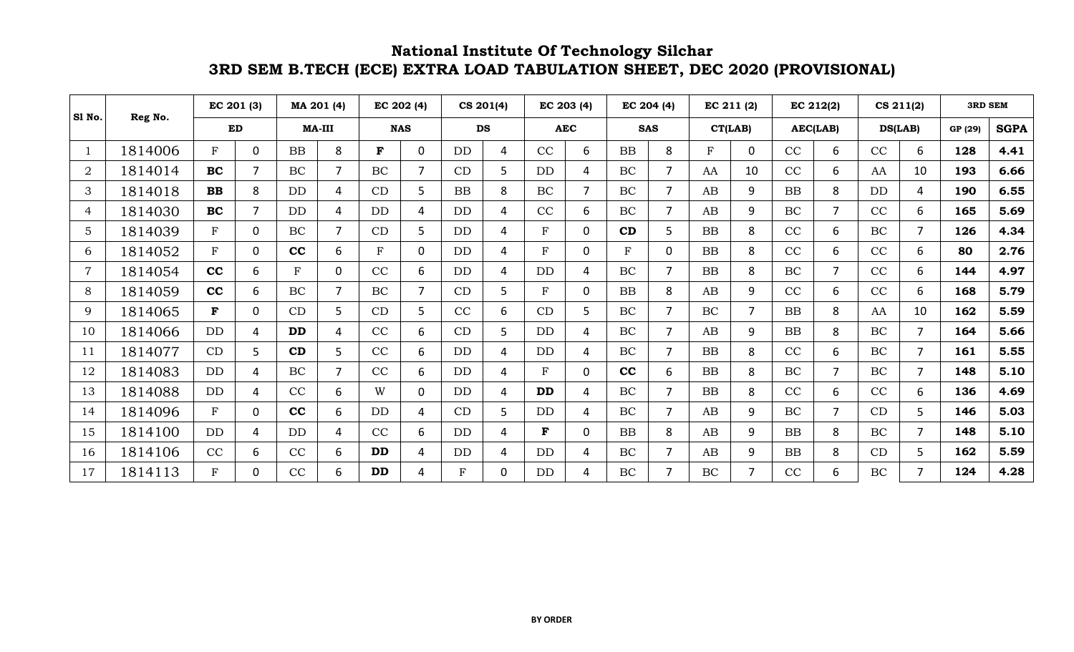### **3RD SEM B.TECH (ECE) EXTRA LOAD TABULATION SHEET, DEC 2020 (PROVISIONAL) National Institute Of Technology Silchar**

| Sl No.         | Reg No. | EC 201 (3)   |                |           | MA 201 (4)     |              | EC 202 (4)     |              | CS 201(4) |           | EC 203 (4)     | EC 204 (4)  |                |           | EC 211 (2) |           | EC 212(2)      |           | CS 211(2)      | <b>3RD SEM</b> |             |
|----------------|---------|--------------|----------------|-----------|----------------|--------------|----------------|--------------|-----------|-----------|----------------|-------------|----------------|-----------|------------|-----------|----------------|-----------|----------------|----------------|-------------|
|                |         | ED           |                |           | <b>MA-III</b>  | <b>NAS</b>   |                |              | <b>DS</b> |           | <b>AEC</b>     |             | <b>SAS</b>     |           | CT(LAB)    |           | AEC(LAB)       |           | DS(LAB)        | GP (29)        | <b>SGPA</b> |
| -1             | 1814006 | F            | 0              | <b>BB</b> | 8              | $\mathbf{F}$ | 0              | <b>DD</b>    | 4         | CC        | 6              | <b>BB</b>   | 8              | F         | $\Omega$   | CC        | 6              | CC        | 6              | 128            | 4.41        |
| $\overline{2}$ | 1814014 | <b>BC</b>    | $\overline{7}$ | BC        | $\overline{7}$ | BC           | $\overline{7}$ | CD           | 5         | DD        | 4              | <b>BC</b>   | $\overline{7}$ | AA        | 10         | CC        | 6              | AA        | 10             | 193            | 6.66        |
| 3              | 1814018 | <b>BB</b>    | 8              | <b>DD</b> | 4              | CD           | 5              | <b>BB</b>    | 8         | <b>BC</b> | $\overline{7}$ | BC          | $\overline{7}$ | AB        | 9          | <b>BB</b> | 8              | <b>DD</b> | 4              | 190            | 6.55        |
| 4              | 1814030 | <b>BC</b>    | $\overline{7}$ | <b>DD</b> | 4              | <b>DD</b>    | 4              | <b>DD</b>    | 4         | CC        | 6              | <b>BC</b>   | $\overline{7}$ | AB        | 9          | <b>BC</b> | $\overline{7}$ | CC        | 6              | 165            | 5.69        |
| 5              | 1814039 | F            | 0              | BC        |                | CD           | 5              | <b>DD</b>    | 4         | F         | 0              | CD          | 5              | <b>BB</b> | 8          | CC        | 6              | <b>BC</b> | $\overline{7}$ | 126            | 4.34        |
| 6              | 1814052 | F            | $\Omega$       | cc        | 6              | F            | $\Omega$       | <b>DD</b>    | 4         | F         | $\overline{0}$ | $\mathbf F$ | $\mathbf 0$    | <b>BB</b> | 8          | CC        | 6              | CC        | 6              | 80             | 2.76        |
| $\overline{7}$ | 1814054 | cc           | 6              | F         | 0              | CC           | 6              | <b>DD</b>    | 4         | <b>DD</b> | 4              | <b>BC</b>   | $\overline{7}$ | <b>BB</b> | 8          | <b>BC</b> | $\overline{7}$ | CC        | 6              | 144            | 4.97        |
| 8              | 1814059 | cc           | 6              | <b>BC</b> |                | BC           | $\overline{7}$ | CD           | 5         | F         | 0              | <b>BB</b>   | 8              | AB        | 9          | CC        | 6              | CC        | 6              | 168            | 5.79        |
| 9              | 1814065 | F            | $\mathbf 0$    | CD        | 5              | CD           | 5              | CC           | 6         | CD        | 5              | BC          | 7              | BC        |            | <b>BB</b> | 8              | AA        | 10             | 162            | 5.59        |
| 10             | 1814066 | DD           | 4              | <b>DD</b> | 4              | CC           | 6              | CD           | 5         | DD        | 4              | BC          | $\overline{7}$ | AB        | 9          | <b>BB</b> | 8              | BC        | $\overline{7}$ | 164            | 5.66        |
| 11             | 1814077 | CD           | 5              | CD        | 5              | CC           | 6              | DD           | 4         | DD        | $\overline{4}$ | BC          | $\overline{7}$ | <b>BB</b> | 8          | CC        | 6              | BC        | $\overline{7}$ | 161            | 5.55        |
| 12             | 1814083 | <b>DD</b>    | 4              | BC        |                | CC           | 6              | <b>DD</b>    | 4         | F         | $\Omega$       | cc          | 6              | <b>BB</b> | 8          | <b>BC</b> | $\overline{7}$ | BC        | $\overline{7}$ | 148            | 5.10        |
| 13             | 1814088 | DD           | 4              | CC        | 6              | W            | $\Omega$       | <b>DD</b>    | 4         | <b>DD</b> | $\overline{4}$ | <b>BC</b>   | $\overline{7}$ | <b>BB</b> | 8          | CC        | 6              | CC        | 6              | 136            | 4.69        |
| 14             | 1814096 | $\mathbf{F}$ | $\mathbf 0$    | cc        | 6              | <b>DD</b>    | 4              | CD           | 5         | <b>DD</b> | $\overline{4}$ | BC          | $\overline{7}$ | AB        | 9          | <b>BC</b> | $\overline{7}$ | CD        | 5              | 146            | 5.03        |
| 15             | 1814100 | <b>DD</b>    | 4              | <b>DD</b> | 4              | CC           | 6              | DD           | 4         | F         | $\Omega$       | <b>BB</b>   | 8              | AB        | 9          | <b>BB</b> | 8              | BC        | $\overline{7}$ | 148            | 5.10        |
| 16             | 1814106 | CC           | 6              | CC        | 6              | DD           | 4              | <b>DD</b>    | 4         | <b>DD</b> | $\overline{4}$ | BC          | 7              | AB        | 9          | BB        | 8              | CD        | 5              | 162            | 5.59        |
| 17             | 1814113 | F            | $\Omega$       | CC        | 6.             | <b>DD</b>    | 4              | $\mathbf{F}$ | $\Omega$  | DD        | 4              | BC          | 7              | <b>BC</b> |            | CC        | 6              | BC        | $\overline{ }$ | 124            | 4.28        |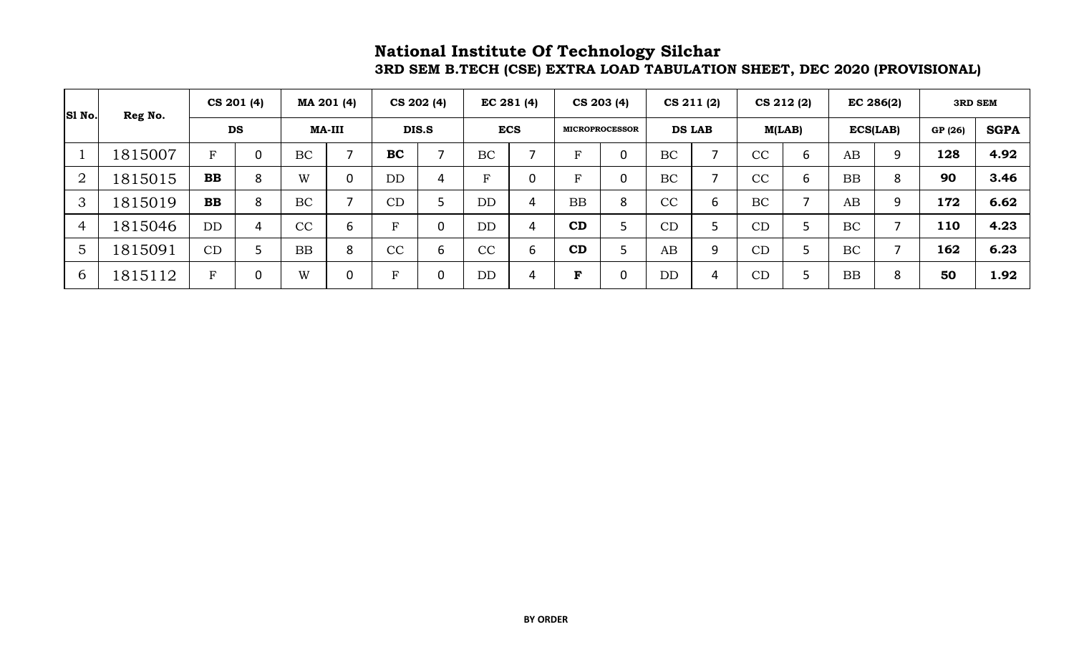#### **National Institute Of Technology Silchar 3RD SEM B.TECH (CSE) EXTRA LOAD TABULATION SHEET, DEC 2020 (PROVISIONAL)**

| SI No.         | Reg No. |             | CS 201 (4)  |           | MA 201 (4) |           | CS 202 (4) |              | EC 281 (4) |             | CS 203 (4)            |           | CS 211 (2)    |    | CS 212 (2) |           | EC 286(2) |         | <b>3RD SEM</b> |
|----------------|---------|-------------|-------------|-----------|------------|-----------|------------|--------------|------------|-------------|-----------------------|-----------|---------------|----|------------|-----------|-----------|---------|----------------|
|                |         |             | <b>DS</b>   |           | MA-III     |           | DIS.S      |              | <b>ECS</b> |             | <b>MICROPROCESSOR</b> |           | <b>DS LAB</b> |    | M(LAB)     |           | ECS(LAB)  | GP (26) | <b>SGPA</b>    |
|                | 1815007 | F           | $\mathbf 0$ | BC        | 7          | <b>BC</b> |            | BC           |            | F           |                       | BC        |               | CC | b          | AB        | 9         | 128     | 4.92           |
| $\overline{2}$ | 1815015 | <b>BB</b>   | 8           | W         | 0          | DD        | 4          | $\mathbf{F}$ | 0          | $\mathbf F$ | $\mathbf{0}$          | <b>BC</b> | -             | CC | 6          | <b>BB</b> | 8         | 90      | 3.46           |
| 3              | 1815019 | <b>BB</b>   | 8           | <b>BC</b> | 7          | CD        | כ          | DD           | 4          | <b>BB</b>   | 8                     | CC        | 6             | BC |            | AB        | 9         | 172     | 6.62           |
| $\overline{4}$ | 1815046 | <b>DD</b>   | 4           | CC        | 6          | ь         | 0          | DD           | 4          | CD          |                       | CD        |               | CD |            | BC        | ⇁         | 110     | 4.23           |
| 5              | 1815091 | CD          | 5           | <b>BB</b> | 8          | CC        | 6          | CC           | 6          | CD          |                       | AB        | 9             | CD |            | <b>BC</b> | ⇁         | 162     | 6.23           |
| $\mathbf b$    | 1815112 | $\mathbf F$ | 0           | W         | 0          | <b>E</b>  | 0          | <b>DD</b>    | 4          | F           | $\mathbf 0$           | <b>DD</b> | 4             | CD |            | <b>BB</b> | 8         | 50      | 1.92           |